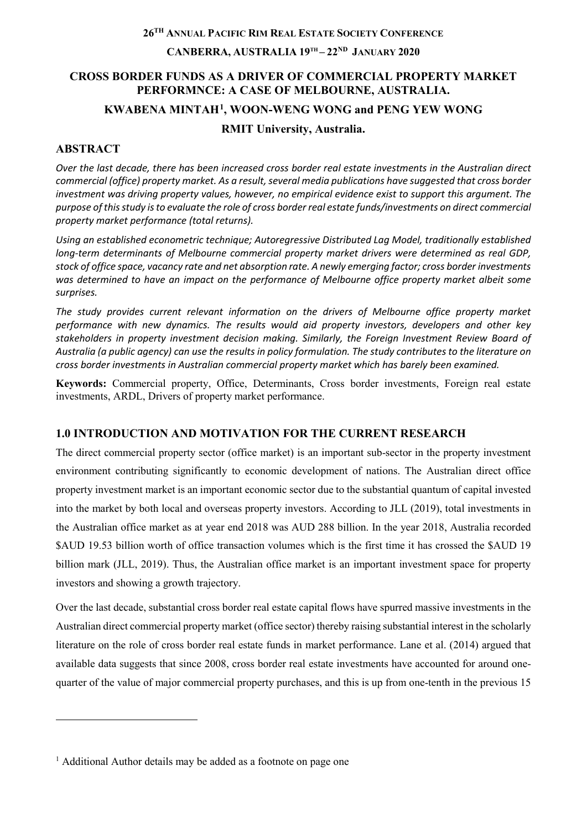## **26TH ANNUAL PACIFIC RIM REAL ESTATE SOCIETY CONFERENCE CANBERRA, AUSTRALIA 19TH – 22ND JANUARY 2020**

## **CROSS BORDER FUNDS AS A DRIVER OF COMMERCIAL PROPERTY MARKET PERFORMNCE: A CASE OF MELBOURNE, AUSTRALIA. KWABENA MINTAH[1](#page-0-0), WOON-WENG WONG and PENG YEW WONG**

### **RMIT University, Australia.**

## **ABSTRACT**

-

*Over the last decade, there has been increased cross border real estate investments in the Australian direct commercial (office) property market. As a result, several media publications have suggested that cross border investment was driving property values, however, no empirical evidence exist to support this argument. The purpose of this study is to evaluate the role of cross border real estate funds/investments on direct commercial property market performance (total returns).*

*Using an established econometric technique; Autoregressive Distributed Lag Model, traditionally established long-term determinants of Melbourne commercial property market drivers were determined as real GDP, stock of office space, vacancy rate and net absorption rate. A newly emerging factor; cross border investments was determined to have an impact on the performance of Melbourne office property market albeit some surprises.*

*The study provides current relevant information on the drivers of Melbourne office property market performance with new dynamics. The results would aid property investors, developers and other key stakeholders in property investment decision making. Similarly, the Foreign Investment Review Board of Australia (a public agency) can use the results in policy formulation. The study contributes to the literature on cross border investments in Australian commercial property market which has barely been examined.*

**Keywords:** Commercial property, Office, Determinants, Cross border investments, Foreign real estate investments, ARDL, Drivers of property market performance.

## **1.0 INTRODUCTION AND MOTIVATION FOR THE CURRENT RESEARCH**

The direct commercial property sector (office market) is an important sub-sector in the property investment environment contributing significantly to economic development of nations. The Australian direct office property investment market is an important economic sector due to the substantial quantum of capital invested into the market by both local and overseas property investors. According to JLL (2019), total investments in the Australian office market as at year end 2018 was AUD 288 billion. In the year 2018, Australia recorded \$AUD 19.53 billion worth of office transaction volumes which is the first time it has crossed the \$AUD 19 billion mark (JLL, 2019). Thus, the Australian office market is an important investment space for property investors and showing a growth trajectory.

Over the last decade, substantial cross border real estate capital flows have spurred massive investments in the Australian direct commercial property market (office sector) thereby raising substantial interest in the scholarly literature on the role of cross border real estate funds in market performance. Lane et al. (2014) argued that available data suggests that since 2008, cross border real estate investments have accounted for around onequarter of the value of major commercial property purchases, and this is up from one-tenth in the previous 15

<span id="page-0-0"></span><sup>&</sup>lt;sup>1</sup> Additional Author details may be added as a footnote on page one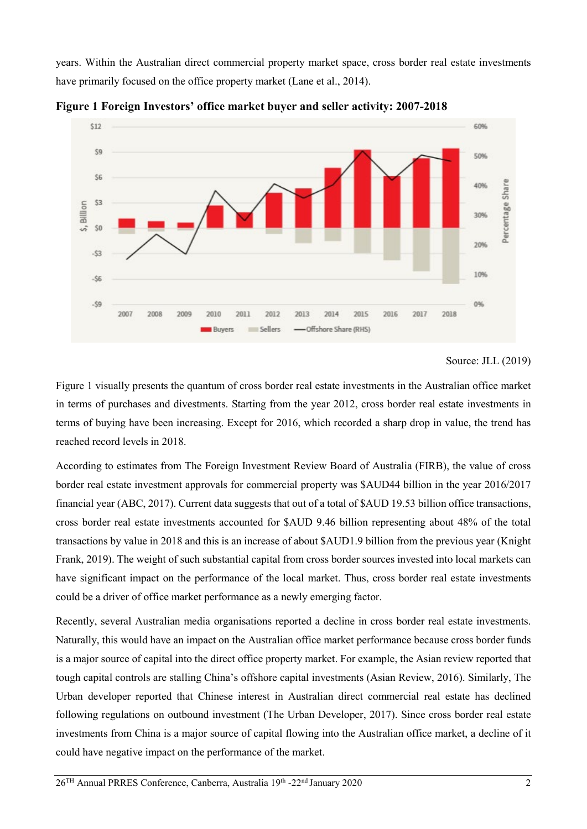years. Within the Australian direct commercial property market space, cross border real estate investments have primarily focused on the office property market (Lane et al., 2014).





Figure 1 visually presents the quantum of cross border real estate investments in the Australian office market in terms of purchases and divestments. Starting from the year 2012, cross border real estate investments in terms of buying have been increasing. Except for 2016, which recorded a sharp drop in value, the trend has reached record levels in 2018.

According to estimates from The Foreign Investment Review Board of Australia (FIRB), the value of cross border real estate investment approvals for commercial property was \$AUD44 billion in the year 2016/2017 financial year (ABC, 2017). Current data suggests that out of a total of \$AUD 19.53 billion office transactions, cross border real estate investments accounted for \$AUD 9.46 billion representing about 48% of the total transactions by value in 2018 and this is an increase of about \$AUD1.9 billion from the previous year (Knight Frank, 2019). The weight of such substantial capital from cross border sources invested into local markets can have significant impact on the performance of the local market. Thus, cross border real estate investments could be a driver of office market performance as a newly emerging factor.

Recently, several Australian media organisations reported a decline in cross border real estate investments. Naturally, this would have an impact on the Australian office market performance because cross border funds is a major source of capital into the direct office property market. For example, the Asian review reported that tough capital controls are stalling China's offshore capital investments (Asian Review, 2016). Similarly, The Urban developer reported that Chinese interest in Australian direct commercial real estate has declined following regulations on outbound investment (The Urban Developer, 2017). Since cross border real estate investments from China is a major source of capital flowing into the Australian office market, a decline of it could have negative impact on the performance of the market.

Source: JLL (2019)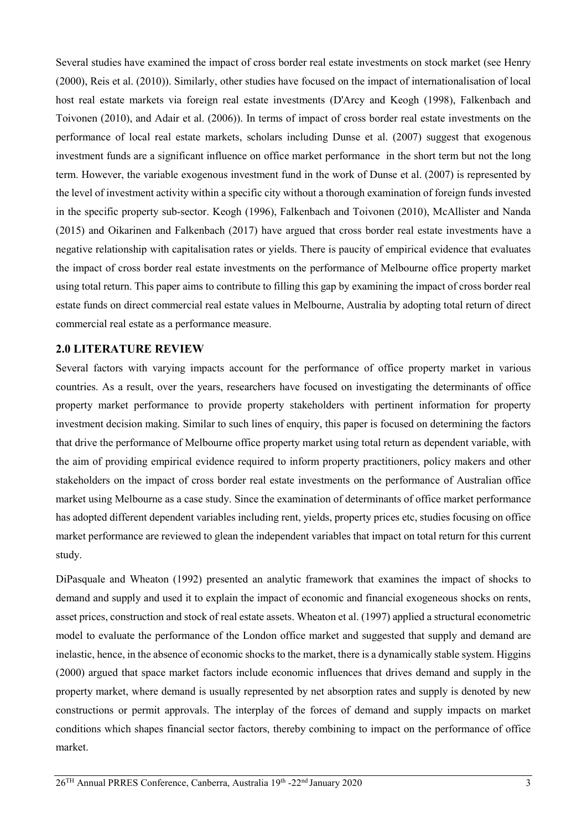Several studies have examined the impact of cross border real estate investments on stock market (see Henry (2000), Reis et al. (2010)). Similarly, other studies have focused on the impact of internationalisation of local host real estate markets via foreign real estate investments (D'Arcy and Keogh (1998), Falkenbach and Toivonen (2010), and Adair et al. (2006)). In terms of impact of cross border real estate investments on the performance of local real estate markets, scholars including Dunse et al. (2007) suggest that exogenous investment funds are a significant influence on office market performance in the short term but not the long term. However, the variable exogenous investment fund in the work of Dunse et al. (2007) is represented by the level of investment activity within a specific city without a thorough examination of foreign funds invested in the specific property sub-sector. Keogh (1996), Falkenbach and Toivonen (2010), McAllister and Nanda (2015) and Oikarinen and Falkenbach (2017) have argued that cross border real estate investments have a negative relationship with capitalisation rates or yields. There is paucity of empirical evidence that evaluates the impact of cross border real estate investments on the performance of Melbourne office property market using total return. This paper aims to contribute to filling this gap by examining the impact of cross border real estate funds on direct commercial real estate values in Melbourne, Australia by adopting total return of direct commercial real estate as a performance measure.

#### **2.0 LITERATURE REVIEW**

Several factors with varying impacts account for the performance of office property market in various countries. As a result, over the years, researchers have focused on investigating the determinants of office property market performance to provide property stakeholders with pertinent information for property investment decision making. Similar to such lines of enquiry, this paper is focused on determining the factors that drive the performance of Melbourne office property market using total return as dependent variable, with the aim of providing empirical evidence required to inform property practitioners, policy makers and other stakeholders on the impact of cross border real estate investments on the performance of Australian office market using Melbourne as a case study. Since the examination of determinants of office market performance has adopted different dependent variables including rent, yields, property prices etc, studies focusing on office market performance are reviewed to glean the independent variables that impact on total return for this current study.

DiPasquale and Wheaton (1992) presented an analytic framework that examines the impact of shocks to demand and supply and used it to explain the impact of economic and financial exogeneous shocks on rents, asset prices, construction and stock of real estate assets. Wheaton et al. (1997) applied a structural econometric model to evaluate the performance of the London office market and suggested that supply and demand are inelastic, hence, in the absence of economic shocks to the market, there is a dynamically stable system. Higgins (2000) argued that space market factors include economic influences that drives demand and supply in the property market, where demand is usually represented by net absorption rates and supply is denoted by new constructions or permit approvals. The interplay of the forces of demand and supply impacts on market conditions which shapes financial sector factors, thereby combining to impact on the performance of office market.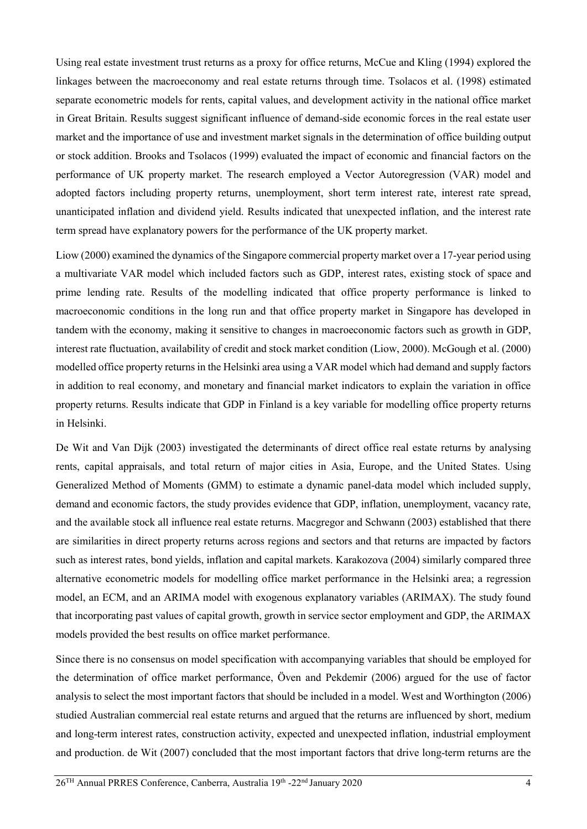Using real estate investment trust returns as a proxy for office returns, McCue and Kling (1994) explored the linkages between the macroeconomy and real estate returns through time. Tsolacos et al. (1998) estimated separate econometric models for rents, capital values, and development activity in the national office market in Great Britain. Results suggest significant influence of demand-side economic forces in the real estate user market and the importance of use and investment market signals in the determination of office building output or stock addition. Brooks and Tsolacos (1999) evaluated the impact of economic and financial factors on the performance of UK property market. The research employed a Vector Autoregression (VAR) model and adopted factors including property returns, unemployment, short term interest rate, interest rate spread, unanticipated inflation and dividend yield. Results indicated that unexpected inflation, and the interest rate term spread have explanatory powers for the performance of the UK property market.

Liow (2000) examined the dynamics of the Singapore commercial property market over a 17-year period using a multivariate VAR model which included factors such as GDP, interest rates, existing stock of space and prime lending rate. Results of the modelling indicated that office property performance is linked to macroeconomic conditions in the long run and that office property market in Singapore has developed in tandem with the economy, making it sensitive to changes in macroeconomic factors such as growth in GDP, interest rate fluctuation, availability of credit and stock market condition (Liow, 2000). McGough et al. (2000) modelled office property returns in the Helsinki area using a VAR model which had demand and supply factors in addition to real economy, and monetary and financial market indicators to explain the variation in office property returns. Results indicate that GDP in Finland is a key variable for modelling office property returns in Helsinki.

De Wit and Van Dijk (2003) investigated the determinants of direct office real estate returns by analysing rents, capital appraisals, and total return of major cities in Asia, Europe, and the United States. Using Generalized Method of Moments (GMM) to estimate a dynamic panel-data model which included supply, demand and economic factors, the study provides evidence that GDP, inflation, unemployment, vacancy rate, and the available stock all influence real estate returns. Macgregor and Schwann (2003) established that there are similarities in direct property returns across regions and sectors and that returns are impacted by factors such as interest rates, bond yields, inflation and capital markets. Karakozova (2004) similarly compared three alternative econometric models for modelling office market performance in the Helsinki area; a regression model, an ECM, and an ARIMA model with exogenous explanatory variables (ARIMAX). The study found that incorporating past values of capital growth, growth in service sector employment and GDP, the ARIMAX models provided the best results on office market performance.

Since there is no consensus on model specification with accompanying variables that should be employed for the determination of office market performance, Öven and Pekdemir (2006) argued for the use of factor analysis to select the most important factors that should be included in a model. West and Worthington (2006) studied Australian commercial real estate returns and argued that the returns are influenced by short, medium and long-term interest rates, construction activity, expected and unexpected inflation, industrial employment and production. de Wit (2007) concluded that the most important factors that drive long-term returns are the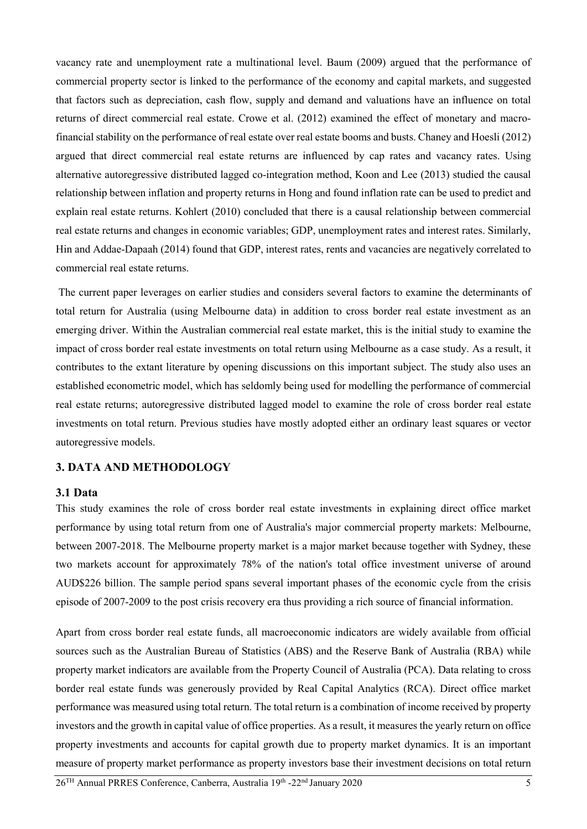vacancy rate and unemployment rate a multinational level. Baum (2009) argued that the performance of commercial property sector is linked to the performance of the economy and capital markets, and suggested that factors such as depreciation, cash flow, supply and demand and valuations have an influence on total returns of direct commercial real estate. Crowe et al. (2012) examined the effect of monetary and macrofinancial stability on the performance of real estate over real estate booms and busts. Chaney and Hoesli (2012) argued that direct commercial real estate returns are influenced by cap rates and vacancy rates. Using alternative autoregressive distributed lagged co-integration method, Koon and Lee (2013) studied the causal relationship between inflation and property returns in Hong and found inflation rate can be used to predict and explain real estate returns. Kohlert (2010) concluded that there is a causal relationship between commercial real estate returns and changes in economic variables; GDP, unemployment rates and interest rates. Similarly, Hin and Addae-Dapaah (2014) found that GDP, interest rates, rents and vacancies are negatively correlated to commercial real estate returns.

The current paper leverages on earlier studies and considers several factors to examine the determinants of total return for Australia (using Melbourne data) in addition to cross border real estate investment as an emerging driver. Within the Australian commercial real estate market, this is the initial study to examine the impact of cross border real estate investments on total return using Melbourne as a case study. As a result, it contributes to the extant literature by opening discussions on this important subject. The study also uses an established econometric model, which has seldomly being used for modelling the performance of commercial real estate returns; autoregressive distributed lagged model to examine the role of cross border real estate investments on total return. Previous studies have mostly adopted either an ordinary least squares or vector autoregressive models.

### **3. DATA AND METHODOLOGY**

#### **3.1 Data**

This study examines the role of cross border real estate investments in explaining direct office market performance by using total return from one of Australia's major commercial property markets: Melbourne, between 2007-2018. The Melbourne property market is a major market because together with Sydney, these two markets account for approximately 78% of the nation's total office investment universe of around AUD\$226 billion. The sample period spans several important phases of the economic cycle from the crisis episode of 2007-2009 to the post crisis recovery era thus providing a rich source of financial information.

Apart from cross border real estate funds, all macroeconomic indicators are widely available from official sources such as the Australian Bureau of Statistics (ABS) and the Reserve Bank of Australia (RBA) while property market indicators are available from the Property Council of Australia (PCA). Data relating to cross border real estate funds was generously provided by Real Capital Analytics (RCA). Direct office market performance was measured using total return. The total return is a combination of income received by property investors and the growth in capital value of office properties. As a result, it measures the yearly return on office property investments and accounts for capital growth due to property market dynamics. It is an important measure of property market performance as property investors base their investment decisions on total return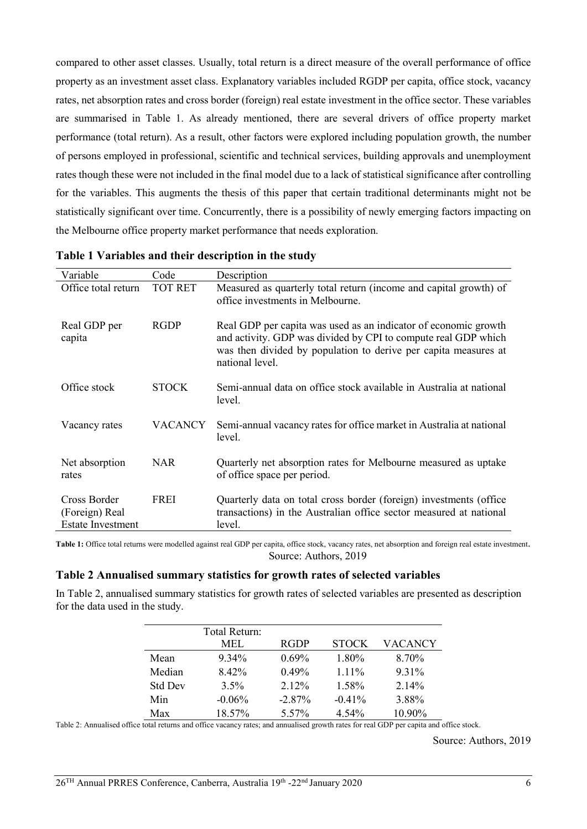compared to other asset classes. Usually, total return is a direct measure of the overall performance of office property as an investment asset class. Explanatory variables included RGDP per capita, office stock, vacancy rates, net absorption rates and cross border (foreign) real estate investment in the office sector. These variables are summarised in [Table 1.](#page-5-0) As already mentioned, there are several drivers of office property market performance (total return). As a result, other factors were explored including population growth, the number of persons employed in professional, scientific and technical services, building approvals and unemployment rates though these were not included in the final model due to a lack of statistical significance after controlling for the variables. This augments the thesis of this paper that certain traditional determinants might not be statistically significant over time. Concurrently, there is a possibility of newly emerging factors impacting on the Melbourne office property market performance that needs exploration.

| Variable                                                   | Code           | Description                                                                                                                                                                                                             |
|------------------------------------------------------------|----------------|-------------------------------------------------------------------------------------------------------------------------------------------------------------------------------------------------------------------------|
| Office total return                                        | <b>TOT RET</b> | Measured as quarterly total return (income and capital growth) of<br>office investments in Melbourne.                                                                                                                   |
| Real GDP per<br>capita                                     | <b>RGDP</b>    | Real GDP per capita was used as an indicator of economic growth<br>and activity. GDP was divided by CPI to compute real GDP which<br>was then divided by population to derive per capita measures at<br>national level. |
| Office stock                                               | <b>STOCK</b>   | Semi-annual data on office stock available in Australia at national<br>level.                                                                                                                                           |
| Vacancy rates                                              | VACANCY        | Semi-annual vacancy rates for office market in Australia at national<br>level.                                                                                                                                          |
| Net absorption<br>rates                                    | <b>NAR</b>     | Quarterly net absorption rates for Melbourne measured as uptake<br>of office space per period.                                                                                                                          |
| Cross Border<br>(Foreign) Real<br><b>Estate Investment</b> | <b>FREI</b>    | Quarterly data on total cross border (foreign) investments (office<br>transactions) in the Australian office sector measured at national<br>level.                                                                      |

**Table 1 Variables and their description in the study**

<span id="page-5-0"></span>Table 1: Office total returns were modelled against real GDP per capita, office stock, vacancy rates, net absorption and foreign real estate investment. Source: Authors, 2019

#### **Table 2 Annualised summary statistics for growth rates of selected variables**

In Table 2, annualised summary statistics for growth rates of selected variables are presented as description for the data used in the study.

|                | Total Return: |             |              |          |
|----------------|---------------|-------------|--------------|----------|
|                | MEL.          | <b>RGDP</b> | <b>STOCK</b> | VACANCY  |
| Mean           | 9.34%         | 0.69%       | 1.80%        | 8.70%    |
| Median         | 8.42%         | 0.49%       | $1.11\%$     | 9.31%    |
| <b>Std Dev</b> | $3.5\%$       | $2.12\%$    | 1.58%        | $2.14\%$ |
| Min            | $-0.06\%$     | $-2.87%$    | $-0.41\%$    | 3.88%    |
| Max            | 18.57%        | 5.57%       | 4.54%        | 10.90%   |

Table 2: Annualised office total returns and office vacancy rates; and annualised growth rates for real GDP per capita and office stock.

Source: Authors, 2019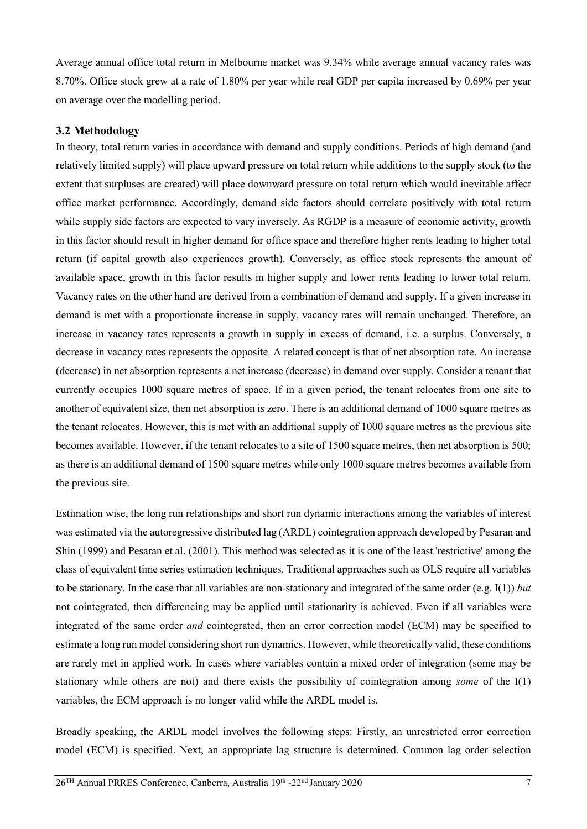Average annual office total return in Melbourne market was 9.34% while average annual vacancy rates was 8.70%. Office stock grew at a rate of 1.80% per year while real GDP per capita increased by 0.69% per year on average over the modelling period.

#### **3.2 Methodology**

In theory, total return varies in accordance with demand and supply conditions. Periods of high demand (and relatively limited supply) will place upward pressure on total return while additions to the supply stock (to the extent that surpluses are created) will place downward pressure on total return which would inevitable affect office market performance. Accordingly, demand side factors should correlate positively with total return while supply side factors are expected to vary inversely. As RGDP is a measure of economic activity, growth in this factor should result in higher demand for office space and therefore higher rents leading to higher total return (if capital growth also experiences growth). Conversely, as office stock represents the amount of available space, growth in this factor results in higher supply and lower rents leading to lower total return. Vacancy rates on the other hand are derived from a combination of demand and supply. If a given increase in demand is met with a proportionate increase in supply, vacancy rates will remain unchanged. Therefore, an increase in vacancy rates represents a growth in supply in excess of demand, i.e. a surplus. Conversely, a decrease in vacancy rates represents the opposite. A related concept is that of net absorption rate. An increase (decrease) in net absorption represents a net increase (decrease) in demand over supply. Consider a tenant that currently occupies 1000 square metres of space. If in a given period, the tenant relocates from one site to another of equivalent size, then net absorption is zero. There is an additional demand of 1000 square metres as the tenant relocates. However, this is met with an additional supply of 1000 square metres as the previous site becomes available. However, if the tenant relocates to a site of 1500 square metres, then net absorption is 500; as there is an additional demand of 1500 square metres while only 1000 square metres becomes available from the previous site.

Estimation wise, the long run relationships and short run dynamic interactions among the variables of interest was estimated via the autoregressive distributed lag (ARDL) cointegration approach developed by Pesaran and Shin (1999) and Pesaran et al. (2001). This method was selected as it is one of the least 'restrictive' among the class of equivalent time series estimation techniques. Traditional approaches such as OLS require all variables to be stationary. In the case that all variables are non-stationary and integrated of the same order (e.g. I(1)) *but* not cointegrated, then differencing may be applied until stationarity is achieved. Even if all variables were integrated of the same order *and* cointegrated, then an error correction model (ECM) may be specified to estimate a long run model considering short run dynamics. However, while theoretically valid, these conditions are rarely met in applied work. In cases where variables contain a mixed order of integration (some may be stationary while others are not) and there exists the possibility of cointegration among *some* of the I(1) variables, the ECM approach is no longer valid while the ARDL model is.

Broadly speaking, the ARDL model involves the following steps: Firstly, an unrestricted error correction model (ECM) is specified. Next, an appropriate lag structure is determined. Common lag order selection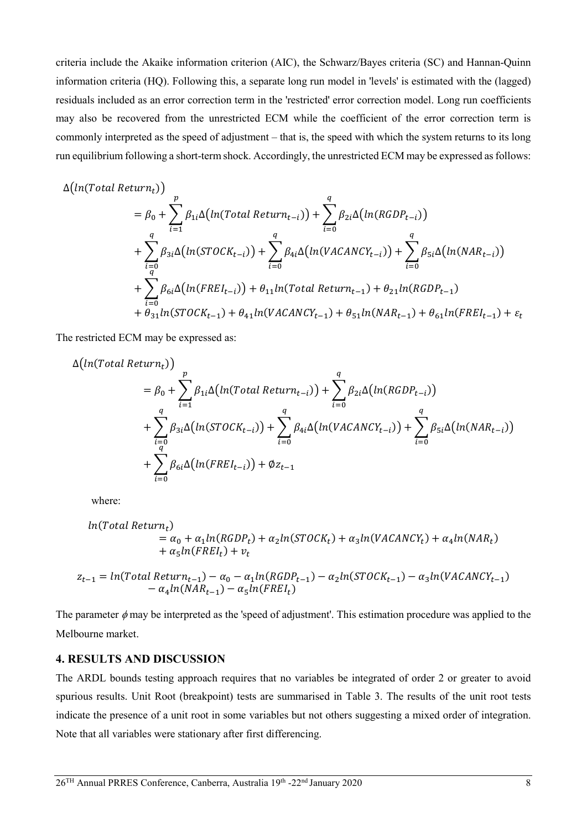criteria include the Akaike information criterion (AIC), the Schwarz/Bayes criteria (SC) and Hannan-Quinn information criteria (HQ). Following this, a separate long run model in 'levels' is estimated with the (lagged) residuals included as an error correction term in the 'restricted' error correction model. Long run coefficients may also be recovered from the unrestricted ECM while the coefficient of the error correction term is commonly interpreted as the speed of adjustment – that is, the speed with which the system returns to its long run equilibrium following a short-term shock. Accordingly, the unrestricted ECM may be expressed as follows:

$$
\Delta\bigl(ln(Total \ Return_t)\bigr)
$$

$$
= \beta_{0} + \sum_{i=1}^{p} \beta_{1i} \Delta \big( ln(Total Return_{t-i}) \big) + \sum_{i=0}^{q} \beta_{2i} \Delta \big( ln(RGDP_{t-i}) \big) + \sum_{i=0}^{q} \beta_{3i} \Delta \big( ln(STOCK_{t-i}) \big) + \sum_{i=0}^{q} \beta_{4i} \Delta \big( ln(VACANCY_{t-i}) \big) + \sum_{i=0}^{q} \beta_{5i} \Delta \big( ln(NAR_{t-i}) \big) + \sum_{i=0}^{q} \beta_{6i} \Delta \big( ln(FREI_{t-i}) \big) + \theta_{11} ln(Total Return_{t-1}) + \theta_{21} ln(RGDP_{t-1}) + \theta_{31} ln(STOCK_{t-1}) + \theta_{41} ln(VACANCY_{t-1}) + \theta_{51} ln(NAR_{t-1}) + \theta_{61} ln(FREI_{t-1}) + \varepsilon_{t}
$$

The restricted ECM may be expressed as:

$$
\Delta\left(ln(Total Return_{t})\right)
$$
\n
$$
= \beta_{0} + \sum_{i=1}^{p} \beta_{1i} \Delta\left(ln(Total Return_{t-i})\right) + \sum_{i=0}^{q} \beta_{2i} \Delta\left(ln(RGDP_{t-i})\right)
$$
\n
$$
+ \sum_{i=0}^{q} \beta_{3i} \Delta\left(ln(STOCK_{t-i})\right) + \sum_{i=0}^{q} \beta_{4i} \Delta\left(ln(VACANCY_{t-i})\right) + \sum_{i=0}^{q} \beta_{5i} \Delta\left(ln(NAR_{t-i})\right)
$$
\n
$$
+ \sum_{i=0}^{q} \beta_{6i} \Delta\left(ln(FREL_{t-i})\right) + \emptyset z_{t-1}
$$

where:

$$
ln(Total Return_t)
$$
  
=  $\alpha_0 + \alpha_1 ln(RGDP_t) + \alpha_2 ln(STOCK_t) + \alpha_3 ln(VACANCY_t) + \alpha_4 ln(NAR_t)$   
+  $\alpha_5 ln(FREI_t) + v_t$ 

$$
z_{t-1} = ln(Total Return_{t-1}) - \alpha_0 - \alpha_1 ln(RGDP_{t-1}) - \alpha_2 ln(STock_{t-1}) - \alpha_3 ln(VACANCY_{t-1}) - \alpha_4 ln(NAR_{t-1}) - \alpha_5 ln(FREI_t)
$$

The parameter  $\phi$  may be interpreted as the 'speed of adjustment'. This estimation procedure was applied to the Melbourne market.

#### **4. RESULTS AND DISCUSSION**

The ARDL bounds testing approach requires that no variables be integrated of order 2 or greater to avoid spurious results. Unit Root (breakpoint) tests are summarised in Table 3. The results of the unit root tests indicate the presence of a unit root in some variables but not others suggesting a mixed order of integration. Note that all variables were stationary after first differencing.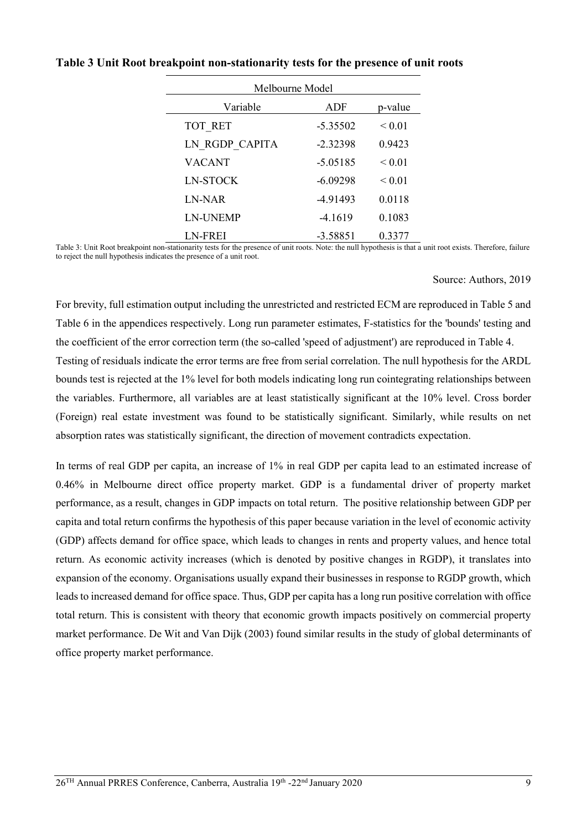| Melbourne Model |            |             |  |  |
|-----------------|------------|-------------|--|--|
| Variable        | ADF        | p-value     |  |  |
| TOT RET         | $-5.35502$ | ${}_{0.01}$ |  |  |
| LN RGDP CAPITA  | $-2.32398$ | 0.9423      |  |  |
| <b>VACANT</b>   | $-5.05185$ | ${}_{0.01}$ |  |  |
| <b>LN-STOCK</b> | $-6.09298$ | ${}_{0.01}$ |  |  |
| LN-NAR          | -4.91493   | 0.0118      |  |  |
| <b>LN-UNEMP</b> | $-4.1619$  | 0.1083      |  |  |
| LN-FREI         | $-3.58851$ | 0.3377      |  |  |

## **Table 3 Unit Root breakpoint non-stationarity tests for the presence of unit roots**

Table 3: Unit Root breakpoint non-stationarity tests for the presence of unit roots. Note: the null hypothesis is that a unit root exists. Therefore, failure to reject the null hypothesis indicates the presence of a unit root.

#### Source: Authors, 2019

For brevity, full estimation output including the unrestricted and restricted ECM are reproduced in Table 5 and Table 6 in the appendices respectively. Long run parameter estimates, F-statistics for the 'bounds' testing and the coefficient of the error correction term (the so-called 'speed of adjustment') are reproduced in Table 4. Testing of residuals indicate the error terms are free from serial correlation. The null hypothesis for the ARDL bounds test is rejected at the 1% level for both models indicating long run cointegrating relationships between the variables. Furthermore, all variables are at least statistically significant at the 10% level. Cross border (Foreign) real estate investment was found to be statistically significant. Similarly, while results on net absorption rates was statistically significant, the direction of movement contradicts expectation.

In terms of real GDP per capita, an increase of 1% in real GDP per capita lead to an estimated increase of 0.46% in Melbourne direct office property market. GDP is a fundamental driver of property market performance, as a result, changes in GDP impacts on total return. The positive relationship between GDP per capita and total return confirms the hypothesis of this paper because variation in the level of economic activity (GDP) affects demand for office space, which leads to changes in rents and property values, and hence total return. As economic activity increases (which is denoted by positive changes in RGDP), it translates into expansion of the economy. Organisations usually expand their businesses in response to RGDP growth, which leads to increased demand for office space. Thus, GDP per capita has a long run positive correlation with office total return. This is consistent with theory that economic growth impacts positively on commercial property market performance. De Wit and Van Dijk (2003) found similar results in the study of global determinants of office property market performance.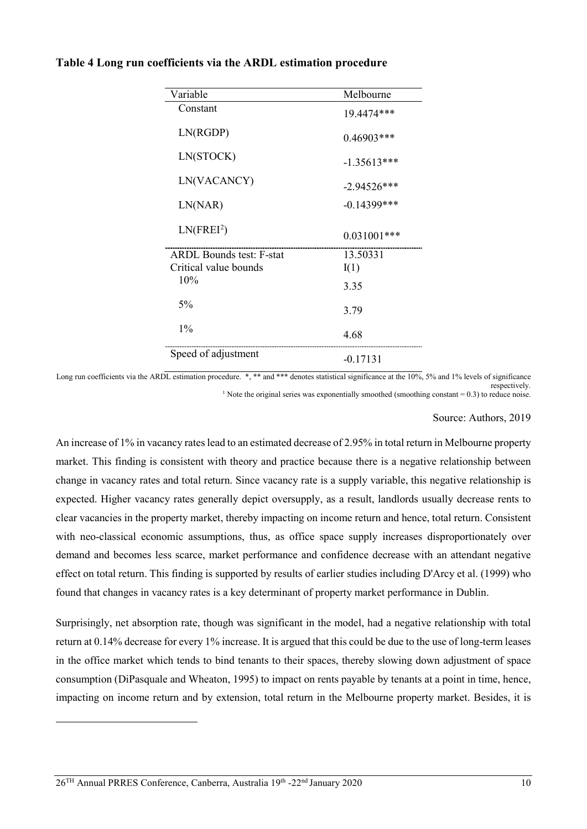| Variable                        | Melbourne      |  |
|---------------------------------|----------------|--|
| Constant                        | 19.4474***     |  |
| LN(RGDP)                        | $0.46903***$   |  |
| LN(STOCK)                       | $-1.35613***$  |  |
| LN(VACANCY)                     | $-2.94526***$  |  |
| LN(NAR)                         | $-0.14399$ *** |  |
| LN(FREI <sup>2</sup> )          | $0.031001$ *** |  |
| <b>ARDL Bounds test: F-stat</b> | 13.50331       |  |
| Critical value bounds           | I(1)           |  |
| 10%                             | 3.35           |  |
| 5%                              | 3.79           |  |
| $1\%$                           | 4.68           |  |
| Speed of adjustment             | $-0.17131$     |  |

#### **Table 4 Long run coefficients via the ARDL estimation procedure**

Long run coefficients via the ARDL estimation procedure. \*, \*\* and \*\*\* denotes statistical significance at the 10%, 5% and 1% levels of significance respectively. <sup>1</sup> Note the original series was exponentially smoothed (smoothing constant  $= 0.3$ ) to reduce noise.

Source: Authors, 2019

An increase of 1% in vacancy rates lead to an estimated decrease of 2.95% in total return in Melbourne property market. This finding is consistent with theory and practice because there is a negative relationship between change in vacancy rates and total return. Since vacancy rate is a supply variable, this negative relationship is expected. Higher vacancy rates generally depict oversupply, as a result, landlords usually decrease rents to clear vacancies in the property market, thereby impacting on income return and hence, total return. Consistent with neo-classical economic assumptions, thus, as office space supply increases disproportionately over demand and becomes less scarce, market performance and confidence decrease with an attendant negative effect on total return. This finding is supported by results of earlier studies including D'Arcy et al. (1999) who found that changes in vacancy rates is a key determinant of property market performance in Dublin.

Surprisingly, net absorption rate, though was significant in the model, had a negative relationship with total return at 0.14% decrease for every 1% increase. It is argued that this could be due to the use of long-term leases in the office market which tends to bind tenants to their spaces, thereby slowing down adjustment of space consumption (DiPasquale and Wheaton, 1995) to impact on rents payable by tenants at a point in time, hence, impacting on income return and by extension, total return in the Melbourne property market. Besides, it is

<span id="page-9-0"></span>-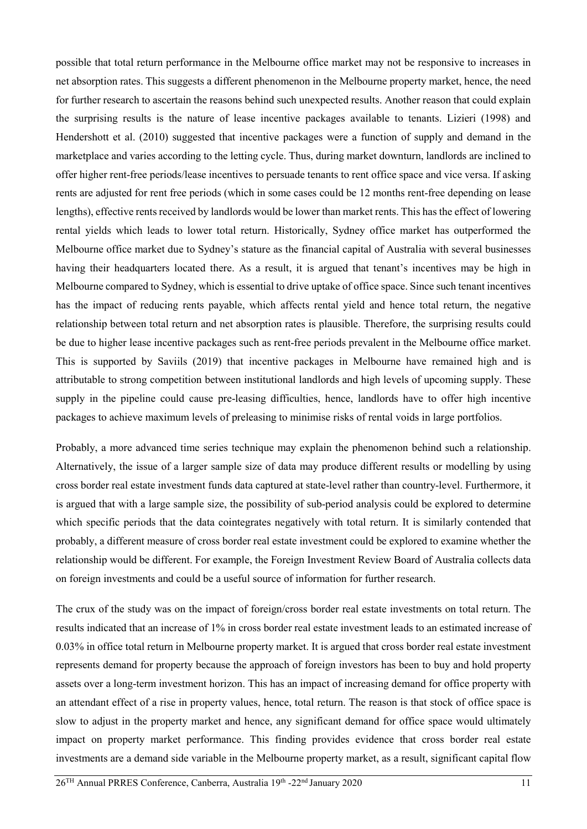possible that total return performance in the Melbourne office market may not be responsive to increases in net absorption rates. This suggests a different phenomenon in the Melbourne property market, hence, the need for further research to ascertain the reasons behind such unexpected results. Another reason that could explain the surprising results is the nature of lease incentive packages available to tenants. Lizieri (1998) and Hendershott et al. (2010) suggested that incentive packages were a function of supply and demand in the marketplace and varies according to the letting cycle. Thus, during market downturn, landlords are inclined to offer higher rent-free periods/lease incentives to persuade tenants to rent office space and vice versa. If asking rents are adjusted for rent free periods (which in some cases could be 12 months rent-free depending on lease lengths), effective rents received by landlords would be lower than market rents. This has the effect of lowering rental yields which leads to lower total return. Historically, Sydney office market has outperformed the Melbourne office market due to Sydney's stature as the financial capital of Australia with several businesses having their headquarters located there. As a result, it is argued that tenant's incentives may be high in Melbourne compared to Sydney, which is essential to drive uptake of office space. Since such tenant incentives has the impact of reducing rents payable, which affects rental yield and hence total return, the negative relationship between total return and net absorption rates is plausible. Therefore, the surprising results could be due to higher lease incentive packages such as rent-free periods prevalent in the Melbourne office market. This is supported by Saviils (2019) that incentive packages in Melbourne have remained high and is attributable to strong competition between institutional landlords and high levels of upcoming supply. These supply in the pipeline could cause pre-leasing difficulties, hence, landlords have to offer high incentive packages to achieve maximum levels of preleasing to minimise risks of rental voids in large portfolios.

Probably, a more advanced time series technique may explain the phenomenon behind such a relationship. Alternatively, the issue of a larger sample size of data may produce different results or modelling by using cross border real estate investment funds data captured at state-level rather than country-level. Furthermore, it is argued that with a large sample size, the possibility of sub-period analysis could be explored to determine which specific periods that the data cointegrates negatively with total return. It is similarly contended that probably, a different measure of cross border real estate investment could be explored to examine whether the relationship would be different. For example, the Foreign Investment Review Board of Australia collects data on foreign investments and could be a useful source of information for further research.

The crux of the study was on the impact of foreign/cross border real estate investments on total return. The results indicated that an increase of 1% in cross border real estate investment leads to an estimated increase of 0.03% in office total return in Melbourne property market. It is argued that cross border real estate investment represents demand for property because the approach of foreign investors has been to buy and hold property assets over a long-term investment horizon. This has an impact of increasing demand for office property with an attendant effect of a rise in property values, hence, total return. The reason is that stock of office space is slow to adjust in the property market and hence, any significant demand for office space would ultimately impact on property market performance. This finding provides evidence that cross border real estate investments are a demand side variable in the Melbourne property market, as a result, significant capital flow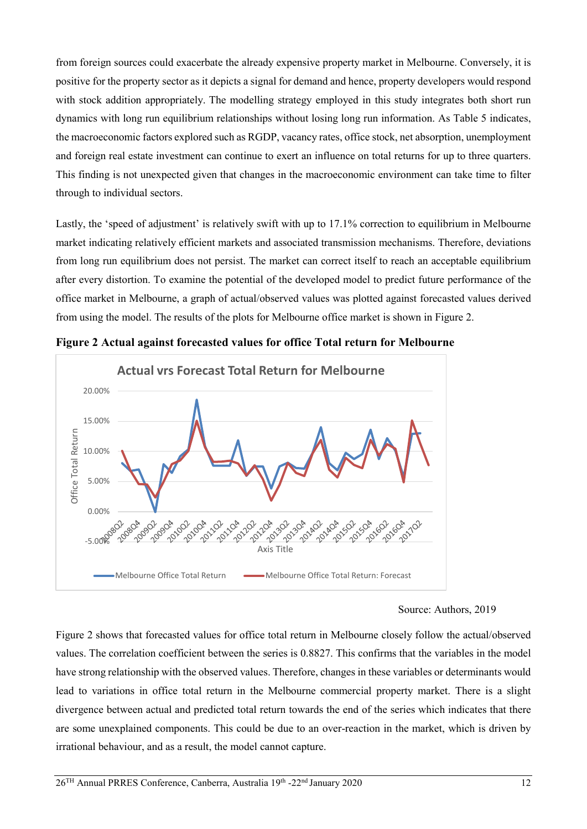from foreign sources could exacerbate the already expensive property market in Melbourne. Conversely, it is positive for the property sector as it depicts a signal for demand and hence, property developers would respond with stock addition appropriately. The modelling strategy employed in this study integrates both short run dynamics with long run equilibrium relationships without losing long run information. As Table 5 indicates, the macroeconomic factors explored such as RGDP, vacancy rates, office stock, net absorption, unemployment and foreign real estate investment can continue to exert an influence on total returns for up to three quarters. This finding is not unexpected given that changes in the macroeconomic environment can take time to filter through to individual sectors.

Lastly, the 'speed of adjustment' is relatively swift with up to 17.1% correction to equilibrium in Melbourne market indicating relatively efficient markets and associated transmission mechanisms. Therefore, deviations from long run equilibrium does not persist. The market can correct itself to reach an acceptable equilibrium after every distortion. To examine the potential of the developed model to predict future performance of the office market in Melbourne, a graph of actual/observed values was plotted against forecasted values derived from using the model. The results of the plots for Melbourne office market is shown in Figure 2.



**Figure 2 Actual against forecasted values for office Total return for Melbourne**

Figure 2 shows that forecasted values for office total return in Melbourne closely follow the actual/observed values. The correlation coefficient between the series is 0.8827. This confirms that the variables in the model have strong relationship with the observed values. Therefore, changes in these variables or determinants would lead to variations in office total return in the Melbourne commercial property market. There is a slight divergence between actual and predicted total return towards the end of the series which indicates that there are some unexplained components. This could be due to an over-reaction in the market, which is driven by irrational behaviour, and as a result, the model cannot capture.

Source: Authors, 2019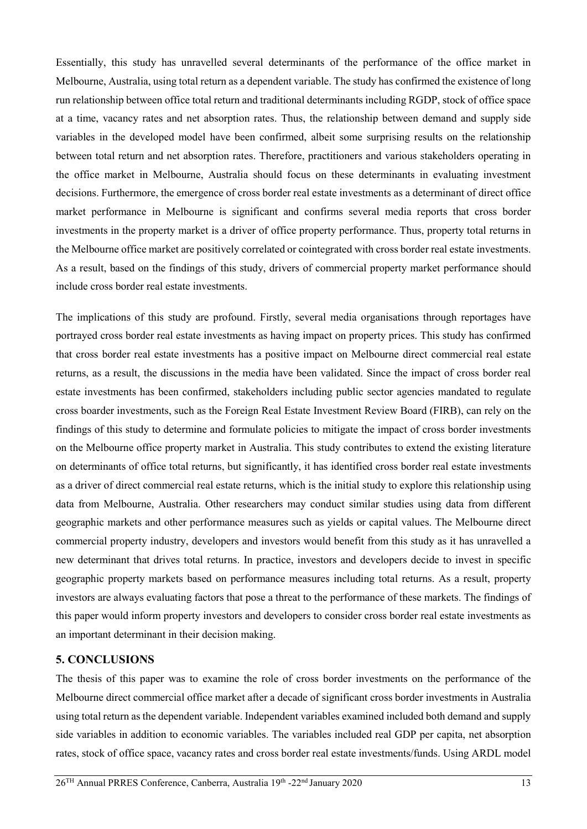Essentially, this study has unravelled several determinants of the performance of the office market in Melbourne, Australia, using total return as a dependent variable. The study has confirmed the existence of long run relationship between office total return and traditional determinants including RGDP, stock of office space at a time, vacancy rates and net absorption rates. Thus, the relationship between demand and supply side variables in the developed model have been confirmed, albeit some surprising results on the relationship between total return and net absorption rates. Therefore, practitioners and various stakeholders operating in the office market in Melbourne, Australia should focus on these determinants in evaluating investment decisions. Furthermore, the emergence of cross border real estate investments as a determinant of direct office market performance in Melbourne is significant and confirms several media reports that cross border investments in the property market is a driver of office property performance. Thus, property total returns in the Melbourne office market are positively correlated or cointegrated with cross border real estate investments. As a result, based on the findings of this study, drivers of commercial property market performance should include cross border real estate investments.

The implications of this study are profound. Firstly, several media organisations through reportages have portrayed cross border real estate investments as having impact on property prices. This study has confirmed that cross border real estate investments has a positive impact on Melbourne direct commercial real estate returns, as a result, the discussions in the media have been validated. Since the impact of cross border real estate investments has been confirmed, stakeholders including public sector agencies mandated to regulate cross boarder investments, such as the Foreign Real Estate Investment Review Board (FIRB), can rely on the findings of this study to determine and formulate policies to mitigate the impact of cross border investments on the Melbourne office property market in Australia. This study contributes to extend the existing literature on determinants of office total returns, but significantly, it has identified cross border real estate investments as a driver of direct commercial real estate returns, which is the initial study to explore this relationship using data from Melbourne, Australia. Other researchers may conduct similar studies using data from different geographic markets and other performance measures such as yields or capital values. The Melbourne direct commercial property industry, developers and investors would benefit from this study as it has unravelled a new determinant that drives total returns. In practice, investors and developers decide to invest in specific geographic property markets based on performance measures including total returns. As a result, property investors are always evaluating factors that pose a threat to the performance of these markets. The findings of this paper would inform property investors and developers to consider cross border real estate investments as an important determinant in their decision making.

### **5. CONCLUSIONS**

The thesis of this paper was to examine the role of cross border investments on the performance of the Melbourne direct commercial office market after a decade of significant cross border investments in Australia using total return as the dependent variable. Independent variables examined included both demand and supply side variables in addition to economic variables. The variables included real GDP per capita, net absorption rates, stock of office space, vacancy rates and cross border real estate investments/funds. Using ARDL model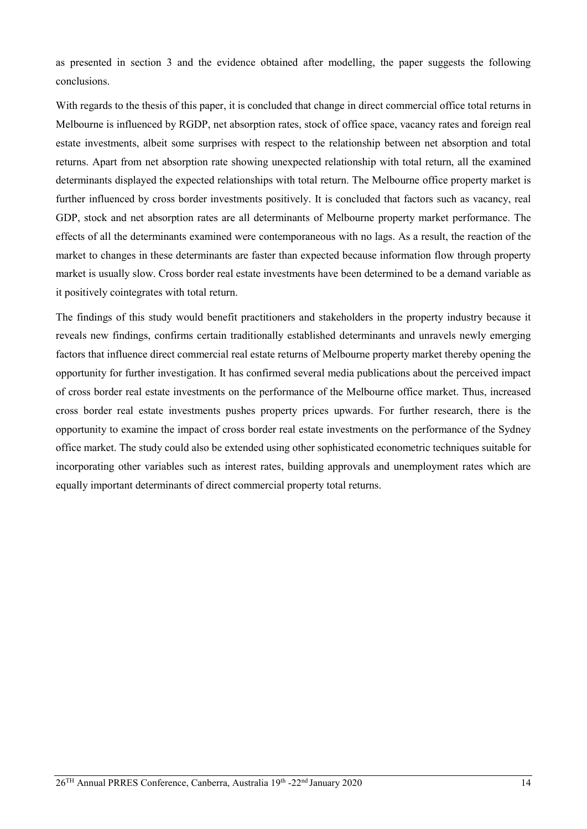as presented in section 3 and the evidence obtained after modelling, the paper suggests the following conclusions.

With regards to the thesis of this paper, it is concluded that change in direct commercial office total returns in Melbourne is influenced by RGDP, net absorption rates, stock of office space, vacancy rates and foreign real estate investments, albeit some surprises with respect to the relationship between net absorption and total returns. Apart from net absorption rate showing unexpected relationship with total return, all the examined determinants displayed the expected relationships with total return. The Melbourne office property market is further influenced by cross border investments positively. It is concluded that factors such as vacancy, real GDP, stock and net absorption rates are all determinants of Melbourne property market performance. The effects of all the determinants examined were contemporaneous with no lags. As a result, the reaction of the market to changes in these determinants are faster than expected because information flow through property market is usually slow. Cross border real estate investments have been determined to be a demand variable as it positively cointegrates with total return.

The findings of this study would benefit practitioners and stakeholders in the property industry because it reveals new findings, confirms certain traditionally established determinants and unravels newly emerging factors that influence direct commercial real estate returns of Melbourne property market thereby opening the opportunity for further investigation. It has confirmed several media publications about the perceived impact of cross border real estate investments on the performance of the Melbourne office market. Thus, increased cross border real estate investments pushes property prices upwards. For further research, there is the opportunity to examine the impact of cross border real estate investments on the performance of the Sydney office market. The study could also be extended using other sophisticated econometric techniques suitable for incorporating other variables such as interest rates, building approvals and unemployment rates which are equally important determinants of direct commercial property total returns.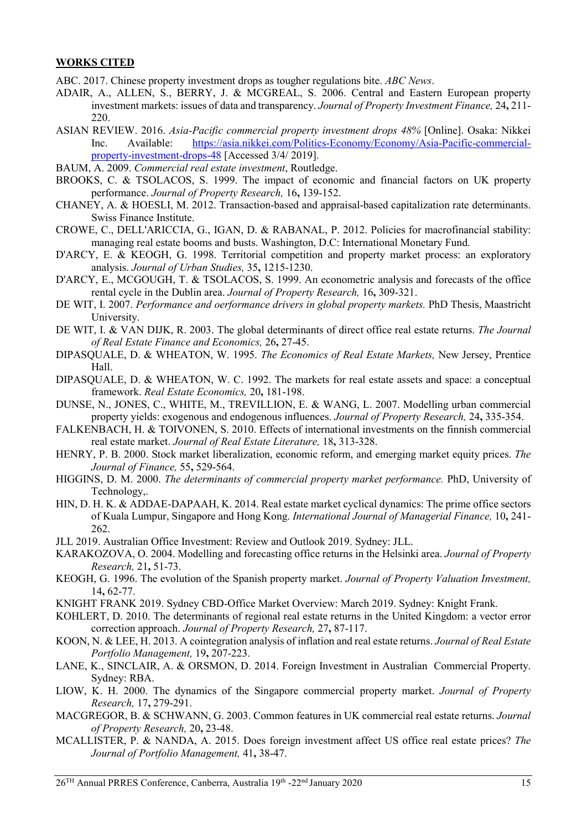#### **WORKS CITED**

ABC. 2017. Chinese property investment drops as tougher regulations bite. *ABC News*.

- ADAIR, A., ALLEN, S., BERRY, J. & MCGREAL, S. 2006. Central and Eastern European property investment markets: issues of data and transparency. *Journal of Property Investment Finance,* 24**,** 211- 220.
- ASIAN REVIEW. 2016. *Asia-Pacific commercial property investment drops 48%* [Online]. Osaka: Nikkei Inc. Available: [https://asia.nikkei.com/Politics-Economy/Economy/Asia-Pacific-commercial](https://asia.nikkei.com/Politics-Economy/Economy/Asia-Pacific-commercial-property-investment-drops-48)[property-investment-drops-48](https://asia.nikkei.com/Politics-Economy/Economy/Asia-Pacific-commercial-property-investment-drops-48) [Accessed 3/4/ 2019].
- BAUM, A. 2009. *Commercial real estate investment*, Routledge.
- BROOKS, C. & TSOLACOS, S. 1999. The impact of economic and financial factors on UK property performance. *Journal of Property Research,* 16**,** 139-152.
- CHANEY, A. & HOESLI, M. 2012. Transaction-based and appraisal-based capitalization rate determinants. Swiss Finance Institute.
- CROWE, C., DELL'ARICCIA, G., IGAN, D. & RABANAL, P. 2012. Policies for macrofinancial stability: managing real estate booms and busts. Washington, D.C: International Monetary Fund.
- D'ARCY, E. & KEOGH, G. 1998. Territorial competition and property market process: an exploratory analysis. *Journal of Urban Studies,* 35**,** 1215-1230.
- D'ARCY, E., MCGOUGH, T. & TSOLACOS, S. 1999. An econometric analysis and forecasts of the office rental cycle in the Dublin area. *Journal of Property Research,* 16**,** 309-321.
- DE WIT, I. 2007. *Performance and oerformance drivers in global property markets.* PhD Thesis, Maastricht University.
- DE WIT, I. & VAN DIJK, R. 2003. The global determinants of direct office real estate returns. *The Journal of Real Estate Finance and Economics,* 26**,** 27-45.
- DIPASQUALE, D. & WHEATON, W. 1995. *The Economics of Real Estate Markets,* New Jersey, Prentice Hall.
- DIPASQUALE, D. & WHEATON, W. C. 1992. The markets for real estate assets and space: a conceptual framework. *Real Estate Economics,* 20**,** 181-198.
- DUNSE, N., JONES, C., WHITE, M., TREVILLION, E. & WANG, L. 2007. Modelling urban commercial property yields: exogenous and endogenous influences. *Journal of Property Research,* 24**,** 335-354.
- FALKENBACH, H. & TOIVONEN, S. 2010. Effects of international investments on the finnish commercial real estate market. *Journal of Real Estate Literature,* 18**,** 313-328.
- HENRY, P. B. 2000. Stock market liberalization, economic reform, and emerging market equity prices. *The Journal of Finance,* 55**,** 529-564.
- HIGGINS, D. M. 2000. *The determinants of commercial property market performance.* PhD, University of Technology,.
- HIN, D. H. K. & ADDAE-DAPAAH, K. 2014. Real estate market cyclical dynamics: The prime office sectors of Kuala Lumpur, Singapore and Hong Kong. *International Journal of Managerial Finance,* 10**,** 241- 262.
- JLL 2019. Australian Office Investment: Review and Outlook 2019. Sydney: JLL.
- KARAKOZOVA, O. 2004. Modelling and forecasting office returns in the Helsinki area. *Journal of Property Research,* 21**,** 51-73.
- KEOGH, G. 1996. The evolution of the Spanish property market. *Journal of Property Valuation Investment,* 14**,** 62-77.
- KNIGHT FRANK 2019. Sydney CBD-Office Market Overview: March 2019. Sydney: Knight Frank.
- KOHLERT, D. 2010. The determinants of regional real estate returns in the United Kingdom: a vector error correction approach. *Journal of Property Research,* 27**,** 87-117.
- KOON, N. & LEE, H. 2013. A cointegration analysis of inflation and real estate returns. *Journal of Real Estate Portfolio Management,* 19**,** 207-223.
- LANE, K., SINCLAIR, A. & ORSMON, D. 2014. Foreign Investment in Australian Commercial Property. Sydney: RBA.
- LIOW, K. H. 2000. The dynamics of the Singapore commercial property market. *Journal of Property Research,* 17**,** 279-291.
- MACGREGOR, B. & SCHWANN, G. 2003. Common features in UK commercial real estate returns. *Journal of Property Research,* 20**,** 23-48.
- MCALLISTER, P. & NANDA, A. 2015. Does foreign investment affect US office real estate prices? *The Journal of Portfolio Management,* 41**,** 38-47.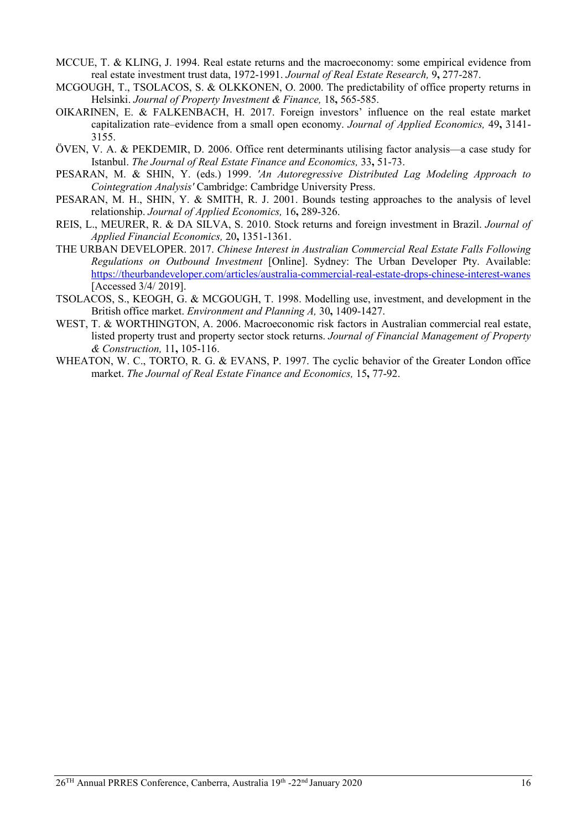- MCCUE, T. & KLING, J. 1994. Real estate returns and the macroeconomy: some empirical evidence from real estate investment trust data, 1972-1991. *Journal of Real Estate Research,* 9**,** 277-287.
- MCGOUGH, T., TSOLACOS, S. & OLKKONEN, O. 2000. The predictability of office property returns in Helsinki. *Journal of Property Investment & Finance,* 18**,** 565-585.
- OIKARINEN, E. & FALKENBACH, H. 2017. Foreign investors' influence on the real estate market capitalization rate–evidence from a small open economy. *Journal of Applied Economics,* 49**,** 3141- 3155.
- ÖVEN, V. A. & PEKDEMIR, D. 2006. Office rent determinants utilising factor analysis—a case study for Istanbul. *The Journal of Real Estate Finance and Economics,* 33**,** 51-73.
- PESARAN, M. & SHIN, Y. (eds.) 1999. *'An Autoregressive Distributed Lag Modeling Approach to Cointegration Analysis'* Cambridge: Cambridge University Press.
- PESARAN, M. H., SHIN, Y. & SMITH, R. J. 2001. Bounds testing approaches to the analysis of level relationship. *Journal of Applied Economics,* 16**,** 289-326.
- REIS, L., MEURER, R. & DA SILVA, S. 2010. Stock returns and foreign investment in Brazil. *Journal of Applied Financial Economics,* 20**,** 1351-1361.
- THE URBAN DEVELOPER. 2017. *Chinese Interest in Australian Commercial Real Estate Falls Following Regulations on Outbound Investment* [Online]. Sydney: The Urban Developer Pty. Available: <https://theurbandeveloper.com/articles/australia-commercial-real-estate-drops-chinese-interest-wanes> [Accessed 3/4/ 2019].
- TSOLACOS, S., KEOGH, G. & MCGOUGH, T. 1998. Modelling use, investment, and development in the British office market. *Environment and Planning A,* 30**,** 1409-1427.
- WEST, T. & WORTHINGTON, A. 2006. Macroeconomic risk factors in Australian commercial real estate, listed property trust and property sector stock returns. *Journal of Financial Management of Property & Construction,* 11**,** 105-116.
- WHEATON, W. C., TORTO, R. G. & EVANS, P. 1997. The cyclic behavior of the Greater London office market. *The Journal of Real Estate Finance and Economics,* 15**,** 77-92.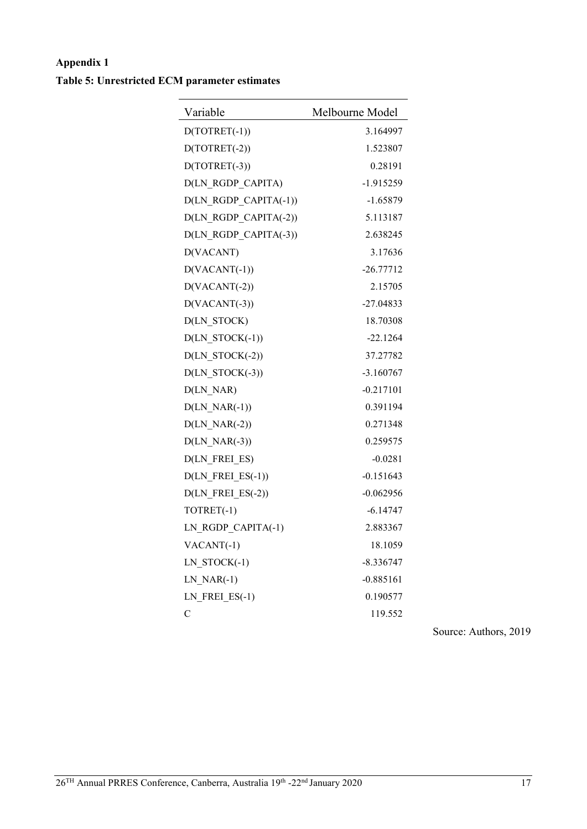# **Appendix 1 Table 5: Unrestricted ECM parameter estimates**

| Variable              | Melbourne Model |
|-----------------------|-----------------|
| $D(TOTRET(-1))$       | 3.164997        |
| $D(TOTRET(-2))$       | 1.523807        |
| $D(TOTRET(-3))$       | 0.28191         |
| D(LN_RGDP_CAPITA)     | $-1.915259$     |
| D(LN_RGDP_CAPITA(-1)) | $-1.65879$      |
| D(LN_RGDP_CAPITA(-2)) | 5.113187        |
| D(LN_RGDP_CAPITA(-3)) | 2.638245        |
| D(VACANT)             | 3.17636         |
| $D(VACANT(-1))$       | $-26.77712$     |
| $D(VACANT(-2))$       | 2.15705         |
| $D(VACANT(-3))$       | $-27.04833$     |
| D(LN_STOCK)           | 18.70308        |
| $D(LN STOCK(-1))$     | $-22.1264$      |
| $D(LN_TSTOCK(-2))$    | 37.27782        |
| $D(LN_TSTOCK(-3))$    | $-3.160767$     |
| D(LN_NAR)             | $-0.217101$     |
| $D(LN_NAR(-1))$       | 0.391194        |
| $D(LN NAR(-2))$       | 0.271348        |
| $D(LN_NAR(-3))$       | 0.259575        |
| D(LN_FREI_ES)         | $-0.0281$       |
| $D(LN_FREL_ES(-1))$   | $-0.151643$     |
| $D(LN$ FREI_ES(-2))   | $-0.062956$     |
| TOTRET(-1)            | $-6.14747$      |
| LN_RGDP_CAPITA(-1)    | 2.883367        |
| $VACANT(-1)$          | 18.1059         |
| LN STOCK(-1)          | $-8.336747$     |
| $LNNAR(-1)$           | $-0.885161$     |
| $LN$ $FREI$ $ES(-1)$  | 0.190577        |
| $\mathbf C$           | 119.552         |

Source: Authors, 2019